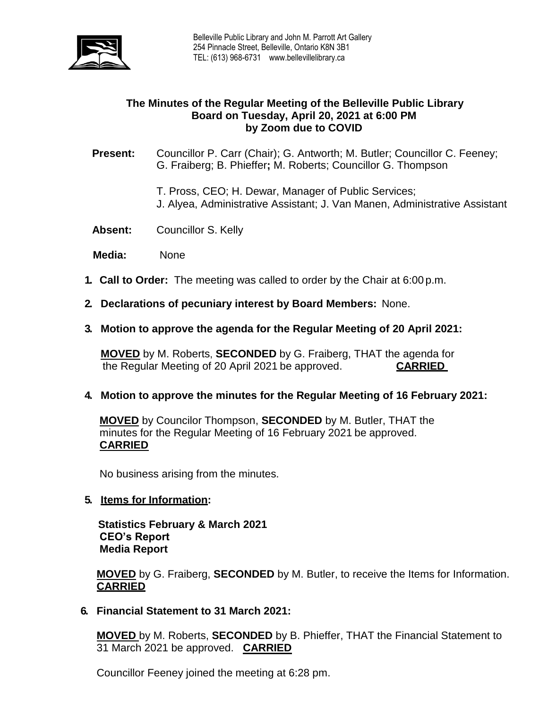

## **The Minutes of the Regular Meeting of the Belleville Public Library Board on Tuesday, April 20, 2021 at 6:00 PM by Zoom due to COVID**

**Present:** Councillor P. Carr (Chair); G. Antworth; M. Butler; Councillor C. Feeney; G. Fraiberg; B. Phieffer**;** M. Roberts; Councillor G. Thompson

- T. Pross, CEO; H. Dewar, Manager of Public Services; J. Alyea, Administrative Assistant; J. Van Manen, Administrative Assistant
- **Absent:** Councillor S. Kelly
- **Media:** None
- **1. Call to Order:** The meeting was called to order by the Chair at 6:00 p.m.
- **2. Declarations of pecuniary interest by Board Members:** None.
- **3. Motion to approve the agenda for the Regular Meeting of 20 April 2021:**

**MOVED** by M. Roberts, **SECONDED** by G. Fraiberg, THAT the agenda for the Regular Meeting of 20 April 2021 be approved. **CARRIED**

#### **4. Motion to approve the minutes for the Regular Meeting of 16 February 2021:**

**MOVED** by Councilor Thompson, **SECONDED** by M. Butler, THAT the minutes for the Regular Meeting of 16 February 2021 be approved. **CARRIED**

No business arising from the minutes.

#### **5. Items for Information:**

 **Statistics February & March 2021 CEO's Report Media Report**

**MOVED** by G. Fraiberg, **SECONDED** by M. Butler, to receive the Items for Information. **CARRIED** 

**6. Financial Statement to 31 March 2021:**

**MOVED** by M. Roberts, **SECONDED** by B. Phieffer, THAT the Financial Statement to 31 March 2021 be approved. **CARRIED**

Councillor Feeney joined the meeting at 6:28 pm.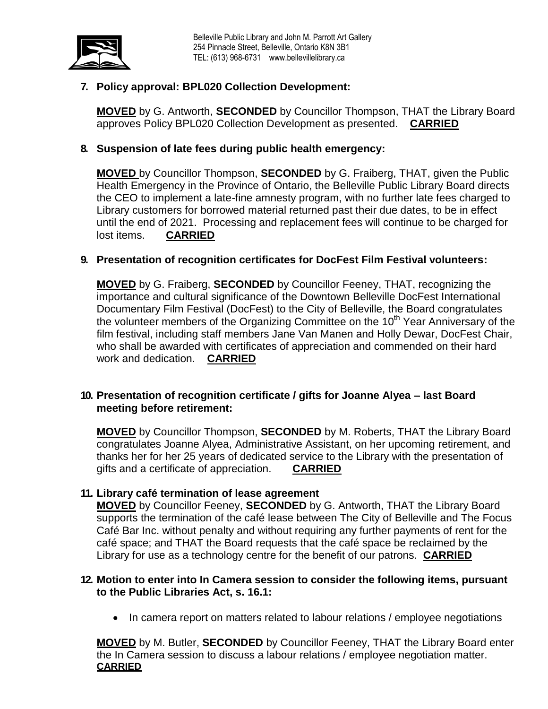

# **7. Policy approval: BPL020 Collection Development:**

**MOVED** by G. Antworth, **SECONDED** by Councillor Thompson, THAT the Library Board approves Policy BPL020 Collection Development as presented. **CARRIED**

#### **8. Suspension of late fees during public health emergency:**

**MOVED** by Councillor Thompson, **SECONDED** by G. Fraiberg, THAT, given the Public Health Emergency in the Province of Ontario, the Belleville Public Library Board directs the CEO to implement a late-fine amnesty program, with no further late fees charged to Library customers for borrowed material returned past their due dates, to be in effect until the end of 2021. Processing and replacement fees will continue to be charged for lost items. **CARRIED**

#### **9. Presentation of recognition certificates for DocFest Film Festival volunteers:**

**MOVED** by G. Fraiberg, **SECONDED** by Councillor Feeney, THAT, recognizing the importance and cultural significance of the Downtown Belleville DocFest International Documentary Film Festival (DocFest) to the City of Belleville, the Board congratulates the volunteer members of the Organizing Committee on the 10<sup>th</sup> Year Anniversary of the film festival, including staff members Jane Van Manen and Holly Dewar, DocFest Chair, who shall be awarded with certificates of appreciation and commended on their hard work and dedication. **CARRIED**

#### **10. Presentation of recognition certificate / gifts for Joanne Alyea – last Board meeting before retirement:**

**MOVED** by Councillor Thompson, **SECONDED** by M. Roberts, THAT the Library Board congratulates Joanne Alyea, Administrative Assistant, on her upcoming retirement, and thanks her for her 25 years of dedicated service to the Library with the presentation of gifts and a certificate of appreciation. **CARRIED**

#### **11. Library café termination of lease agreement**

**MOVED** by Councillor Feeney, **SECONDED** by G. Antworth, THAT the Library Board supports the termination of the café lease between The City of Belleville and The Focus Café Bar Inc. without penalty and without requiring any further payments of rent for the café space; and THAT the Board requests that the café space be reclaimed by the Library for use as a technology centre for the benefit of our patrons. **CARRIED**

#### **12. Motion to enter into In Camera session to consider the following items, pursuant to the Public Libraries Act, s. 16.1:**

• In camera report on matters related to labour relations / employee negotiations

**MOVED** by M. Butler, **SECONDED** by Councillor Feeney, THAT the Library Board enter the In Camera session to discuss a labour relations / employee negotiation matter. **CARRIED**